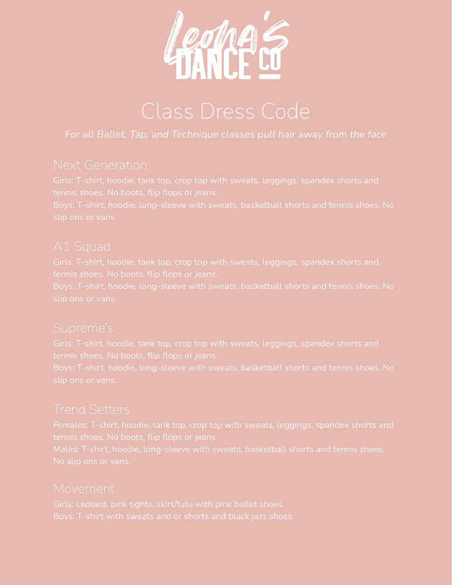

# Class Dress Code

### *For all Ballet, Tap, and Technique classes pull hair away from the face*

Girls: T-shirt, hoodie, tank top, crop top with sweats, leggings, spandex shorts and tennis shoes. No boots, flip flops or jeans.

Boys: T-shirt, hoodie, long-sleeve with sweats, basketball shorts and tennis shoes. No

Girls: T-shirt, hoodie, tank top, crop top with sweats, leggings, spandex shorts and tennis shoes. No boots, flip flops or jeans.

Boys: T-shirt, hoodie, long-sleeve with sweats, basketball shorts and tennis shoes. No

## Supreme's

Girls: T-shirt, hoodie, tank top, crop top with sweats, leggings, spandex shorts and

Boys: T-shirt, hoodie, long-sleeve with sweats, basketball shorts and tennis shoes. No

# Trend Setters

Females: T-shirt, hoodie, tank top, crop top with sweats, leggings, spandex shorts and

### Movement

Girls: Leotard, pink tights, skirt/tutu with pink ballet shoes. Boys: T-shirt with sweats and or shorts and black jazz shoes.